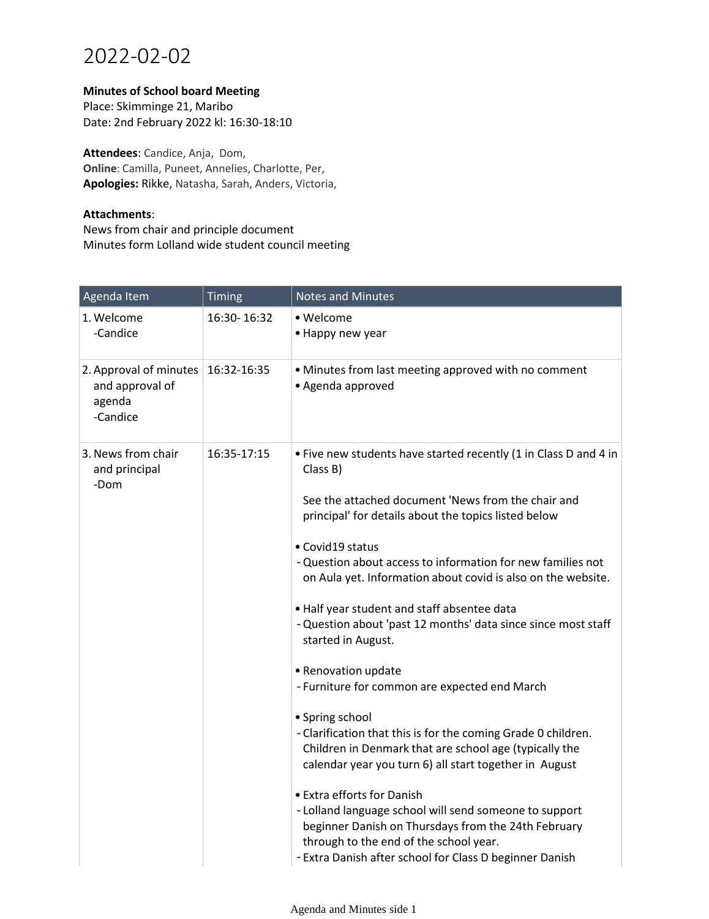## 2022-02-02

## **Minutes of School board Meeting**

Place: Skimminge 21, Maribo Date: 2nd February 2022 kl: 16:30-18:10

**Attendees**: Candice, Anja, Dom, **Online**: Camilla, Puneet, Annelies, Charlotte, Per, **Apologies:** Rikke, Natasha, Sarah, Anders, Victoria,

## **Attachments**:

News from chair and principle document Minutes form Lolland wide student council meeting

| Agenda Item                                                     | Timing      | <b>Notes and Minutes</b>                                                                                                                                                                                                                                                                                                                                                                                                                                                                                                                                                                                                                                               |
|-----------------------------------------------------------------|-------------|------------------------------------------------------------------------------------------------------------------------------------------------------------------------------------------------------------------------------------------------------------------------------------------------------------------------------------------------------------------------------------------------------------------------------------------------------------------------------------------------------------------------------------------------------------------------------------------------------------------------------------------------------------------------|
| 1. Welcome<br>-Candice                                          | 16:30-16:32 | • Welcome<br>• Happy new year                                                                                                                                                                                                                                                                                                                                                                                                                                                                                                                                                                                                                                          |
| 2. Approval of minutes<br>and approval of<br>agenda<br>-Candice | 16:32-16:35 | • Minutes from last meeting approved with no comment<br>• Agenda approved                                                                                                                                                                                                                                                                                                                                                                                                                                                                                                                                                                                              |
| 3. News from chair<br>and principal<br>-Dom                     | 16:35-17:15 | . Five new students have started recently (1 in Class D and 4 in<br>Class B)<br>See the attached document 'News from the chair and<br>principal' for details about the topics listed below<br>• Covid19 status<br>- Question about access to information for new families not<br>on Aula yet. Information about covid is also on the website.                                                                                                                                                                                                                                                                                                                          |
|                                                                 |             | . Half year student and staff absentee data<br>- Question about 'past 12 months' data since since most staff<br>started in August.<br>• Renovation update<br>- Furniture for common are expected end March<br>• Spring school<br>- Clarification that this is for the coming Grade 0 children.<br>Children in Denmark that are school age (typically the<br>calendar year you turn 6) all start together in August<br>• Extra efforts for Danish<br>- Lolland language school will send someone to support<br>beginner Danish on Thursdays from the 24th February<br>through to the end of the school year.<br>- Extra Danish after school for Class D beginner Danish |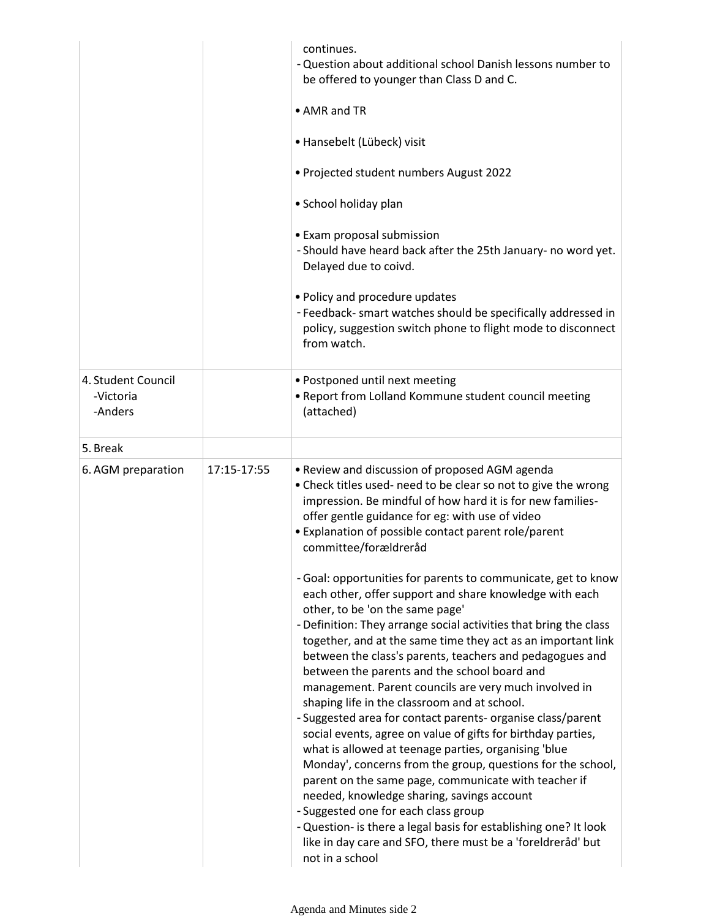|                                            |             | continues.<br>- Question about additional school Danish lessons number to<br>be offered to younger than Class D and C.<br>• AMR and TR<br>• Hansebelt (Lübeck) visit<br>. Projected student numbers August 2022<br>• School holiday plan<br>• Exam proposal submission<br>- Should have heard back after the 25th January- no word yet.<br>Delayed due to coivd.<br>• Policy and procedure updates<br>- Feedback- smart watches should be specifically addressed in<br>policy, suggestion switch phone to flight mode to disconnect<br>from watch.                                                                                                                                                                                                                                                                                                                                                                                                                                                                                                                              |
|--------------------------------------------|-------------|---------------------------------------------------------------------------------------------------------------------------------------------------------------------------------------------------------------------------------------------------------------------------------------------------------------------------------------------------------------------------------------------------------------------------------------------------------------------------------------------------------------------------------------------------------------------------------------------------------------------------------------------------------------------------------------------------------------------------------------------------------------------------------------------------------------------------------------------------------------------------------------------------------------------------------------------------------------------------------------------------------------------------------------------------------------------------------|
| 4. Student Council<br>-Victoria<br>-Anders |             | · Postponed until next meeting<br>. Report from Lolland Kommune student council meeting<br>(attached)                                                                                                                                                                                                                                                                                                                                                                                                                                                                                                                                                                                                                                                                                                                                                                                                                                                                                                                                                                           |
| 5. Break                                   |             |                                                                                                                                                                                                                                                                                                                                                                                                                                                                                                                                                                                                                                                                                                                                                                                                                                                                                                                                                                                                                                                                                 |
| 6. AGM preparation                         | 17:15-17:55 | • Review and discussion of proposed AGM agenda<br>• Check titles used- need to be clear so not to give the wrong<br>impression. Be mindful of how hard it is for new families-<br>offer gentle guidance for eg: with use of video<br>• Explanation of possible contact parent role/parent<br>committee/forældreråd                                                                                                                                                                                                                                                                                                                                                                                                                                                                                                                                                                                                                                                                                                                                                              |
|                                            |             | - Goal: opportunities for parents to communicate, get to know<br>each other, offer support and share knowledge with each<br>other, to be 'on the same page'<br>- Definition: They arrange social activities that bring the class<br>together, and at the same time they act as an important link<br>between the class's parents, teachers and pedagogues and<br>between the parents and the school board and<br>management. Parent councils are very much involved in<br>shaping life in the classroom and at school.<br>- Suggested area for contact parents- organise class/parent<br>social events, agree on value of gifts for birthday parties,<br>what is allowed at teenage parties, organising 'blue<br>Monday', concerns from the group, questions for the school,<br>parent on the same page, communicate with teacher if<br>needed, knowledge sharing, savings account<br>- Suggested one for each class group<br>- Question- is there a legal basis for establishing one? It look<br>like in day care and SFO, there must be a 'foreldreråd' but<br>not in a school |